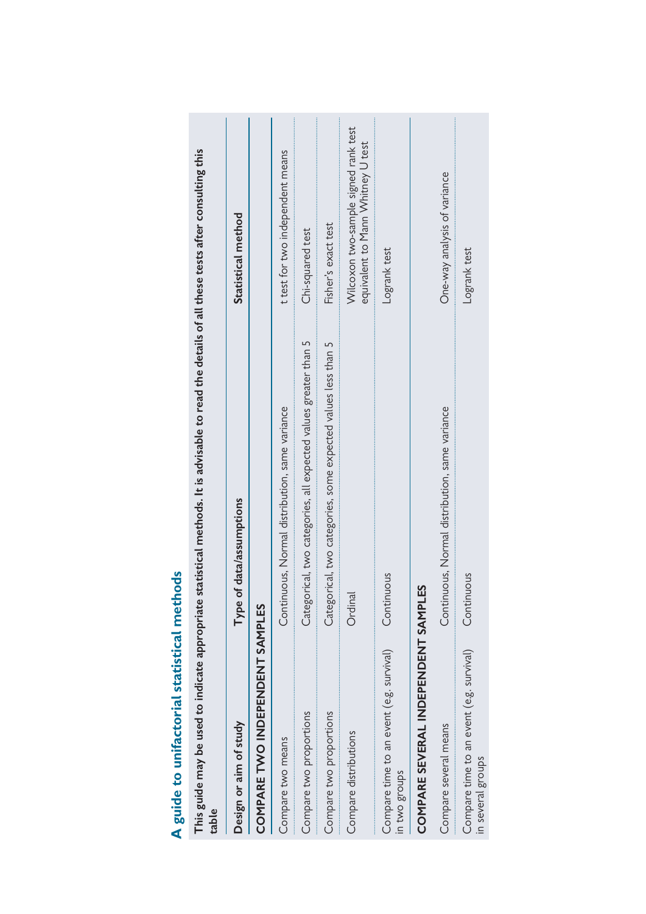| This guide may be used to indicate appropriate<br>table       | statistical methods. It is advisable to read the details of all these tests after consulting this |                                                                           |
|---------------------------------------------------------------|---------------------------------------------------------------------------------------------------|---------------------------------------------------------------------------|
| Design or aim of study                                        | Type of data/assumptions                                                                          | Statistical method                                                        |
| COMPARE TWO INDEPENDENT SAMPLES                               |                                                                                                   |                                                                           |
| Compare two means                                             | Continuous, Normal distribution, same variance                                                    | t test for two independent means                                          |
| Compare two proportions                                       | Categorical, two categories, all expected values greater than 5                                   | Chi-squared test                                                          |
| Compare two proportions                                       | Categorical, two categories, some expected values less than 5                                     | Fisher's exact test                                                       |
| Compare distributions                                         | Ordinal                                                                                           | Wilcoxon two-sample signed rank test<br>equivalent to Mann Whitney U test |
| Compare time to an event (e.g. survival)<br>in two groups     | Continuous                                                                                        | Logrank test                                                              |
| COMPARE SEVERAL INDEPENDENT SAMPI                             | ЕS                                                                                                |                                                                           |
| Compare several means                                         | Continuous, Normal distribution, same variance                                                    | One-way analysis of variance                                              |
| Compare time to an event (e.g. survival)<br>in several groups | Continuous                                                                                        | Logrank test                                                              |

A guide to unifactorial statistical methods **A guide to unifactorial statistical methods**